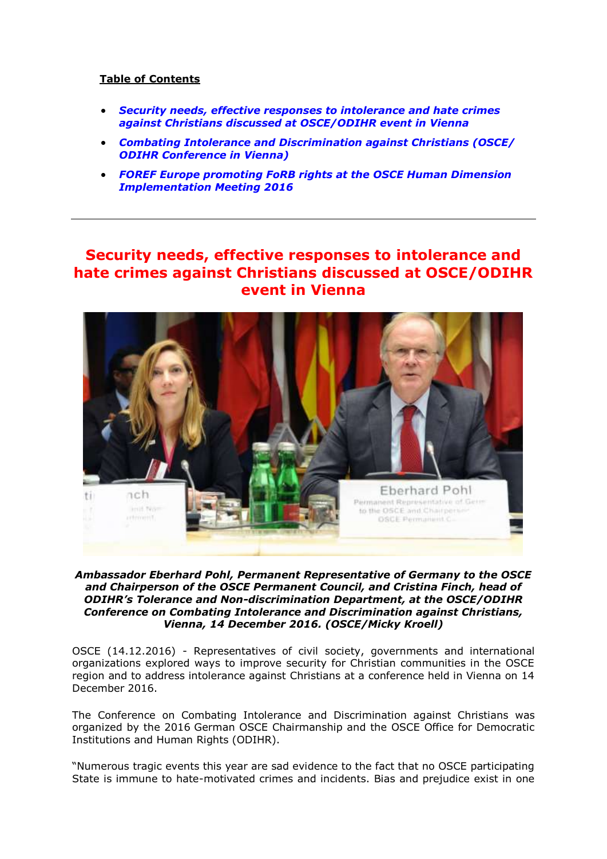## **Table of Contents**

- *[Security needs, effective responses to intolerance and hate crimes](#page-0-0)  [against Christians discussed at OSCE/ODIHR event in Vienna](#page-0-0)*
- *[Combating Intolerance and Discrimination against Christians \(OSCE/](#page-3-0)  [ODIHR Conference in Vienna\)](#page-3-0)*
- *[FOREF Europe promoting FoRB rights at the OSCE Human Dimension](#page-7-0)  [Implementation Meeting 2016](#page-7-0)*

# <span id="page-0-0"></span>**Security needs, effective responses to intolerance and hate crimes against Christians discussed at OSCE/ODIHR event in Vienna**



*Ambassador Eberhard Pohl, Permanent Representative of Germany to the OSCE and Chairperson of the OSCE Permanent Council, and Cristina Finch, head of ODIHR's Tolerance and Non-discrimination Department, at the OSCE/ODIHR Conference on Combating Intolerance and Discrimination against Christians, Vienna, 14 December 2016. (OSCE/Micky Kroell)* 

OSCE (14.12.2016) - Representatives of civil society, governments and international organizations explored ways to improve security for Christian communities in the OSCE region and to address intolerance against Christians at a conference held in Vienna on 14 December 2016.

The Conference on Combating Intolerance and Discrimination against Christians was organized by the 2016 German OSCE Chairmanship and the OSCE Office for Democratic Institutions and Human Rights (ODIHR).

"Numerous tragic events this year are sad evidence to the fact that no OSCE participating State is immune to hate-motivated crimes and incidents. Bias and prejudice exist in one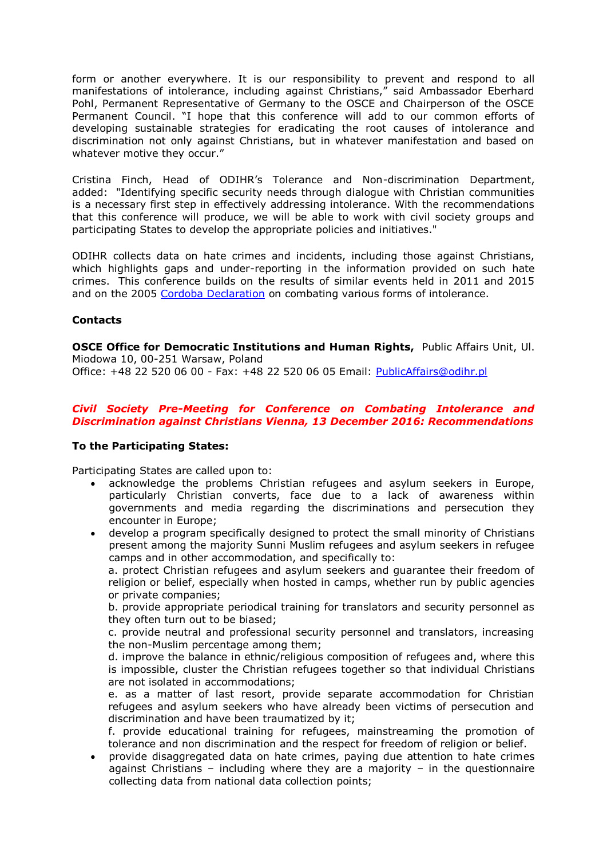form or another everywhere. It is our responsibility to prevent and respond to all manifestations of intolerance, including against Christians," said Ambassador Eberhard Pohl, Permanent Representative of Germany to the OSCE and Chairperson of the OSCE Permanent Council. "I hope that this conference will add to our common efforts of developing sustainable strategies for eradicating the root causes of intolerance and discrimination not only against Christians, but in whatever manifestation and based on whatever motive they occur."

Cristina Finch, Head of ODIHR's Tolerance and Non-discrimination Department, added: "Identifying specific security needs through dialogue with Christian communities is a necessary first step in effectively addressing intolerance. With the recommendations that this conference will produce, we will be able to work with civil society groups and participating States to develop the appropriate policies and initiatives."

ODIHR collects data on hate crimes and incidents, including those against Christians, which highlights gaps and under-reporting in the information provided on such hate crimes. This conference builds on the results of similar events held in 2011 and 2015 and on the 2005 [Cordoba Declaration](http://www.osce.org/cio/15548?download=true) on combating various forms of intolerance.

## **Contacts**

**OSCE Office for Democratic Institutions and Human Rights,** Public Affairs Unit, Ul. Miodowa 10, 00-251 Warsaw, Poland

Office: +48 22 520 06 00 - Fax: +48 22 520 06 05 Email: [PublicAffairs@odihr.pl](mailto:PublicAffairs@odihr.pl)

## *Civil Society Pre-Meeting for Conference on Combating Intolerance and Discrimination against Christians Vienna, 13 December 2016: Recommendations*

#### **To the Participating States:**

Participating States are called upon to:

- acknowledge the problems Christian refugees and asylum seekers in Europe, particularly Christian converts, face due to a lack of awareness within governments and media regarding the discriminations and persecution they encounter in Europe;
- develop a program specifically designed to protect the small minority of Christians present among the majority Sunni Muslim refugees and asylum seekers in refugee camps and in other accommodation, and specifically to:

a. protect Christian refugees and asylum seekers and guarantee their freedom of religion or belief, especially when hosted in camps, whether run by public agencies or private companies;

b. provide appropriate periodical training for translators and security personnel as they often turn out to be biased;

c. provide neutral and professional security personnel and translators, increasing the non-Muslim percentage among them;

d. improve the balance in ethnic/religious composition of refugees and, where this is impossible, cluster the Christian refugees together so that individual Christians are not isolated in accommodations;

e. as a matter of last resort, provide separate accommodation for Christian refugees and asylum seekers who have already been victims of persecution and discrimination and have been traumatized by it;

f. provide educational training for refugees, mainstreaming the promotion of tolerance and non discrimination and the respect for freedom of religion or belief.

 provide disaggregated data on hate crimes, paying due attention to hate crimes against Christians – including where they are a majority – in the questionnaire collecting data from national data collection points;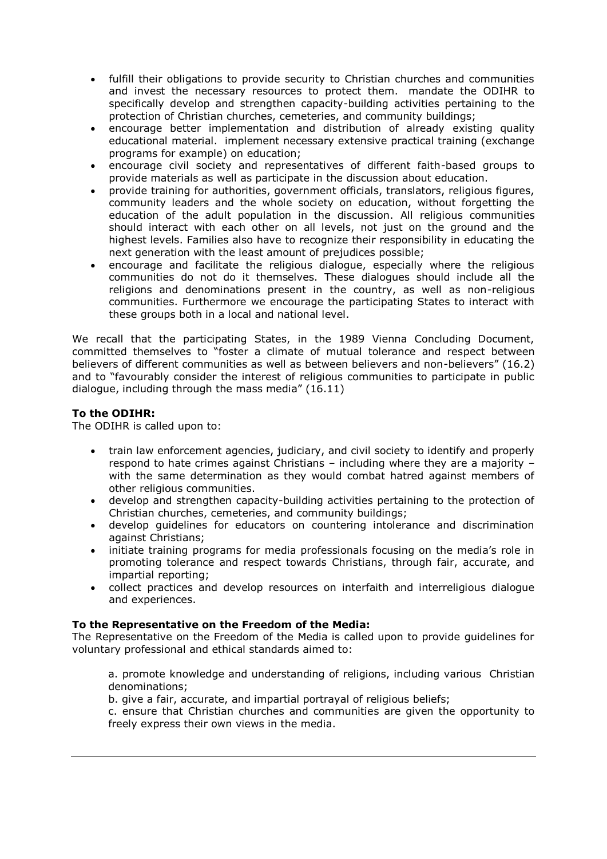- fulfill their obligations to provide security to Christian churches and communities and invest the necessary resources to protect them. mandate the ODIHR to specifically develop and strengthen capacity-building activities pertaining to the protection of Christian churches, cemeteries, and community buildings;
- encourage better implementation and distribution of already existing quality educational material. implement necessary extensive practical training (exchange programs for example) on education;
- encourage civil society and representatives of different faith-based groups to provide materials as well as participate in the discussion about education.
- provide training for authorities, government officials, translators, religious figures, community leaders and the whole society on education, without forgetting the education of the adult population in the discussion. All religious communities should interact with each other on all levels, not just on the ground and the highest levels. Families also have to recognize their responsibility in educating the next generation with the least amount of prejudices possible;
- encourage and facilitate the religious dialogue, especially where the religious communities do not do it themselves. These dialogues should include all the religions and denominations present in the country, as well as non-religious communities. Furthermore we encourage the participating States to interact with these groups both in a local and national level.

We recall that the participating States, in the 1989 Vienna Concluding Document, committed themselves to "foster a climate of mutual tolerance and respect between believers of different communities as well as between believers and non-believers" (16.2) and to "favourably consider the interest of religious communities to participate in public dialogue, including through the mass media" (16.11)

## **To the ODIHR:**

The ODIHR is called upon to:

- train law enforcement agencies, judiciary, and civil society to identify and properly respond to hate crimes against Christians – including where they are a majority – with the same determination as they would combat hatred against members of other religious communities.
- develop and strengthen capacity-building activities pertaining to the protection of Christian churches, cemeteries, and community buildings;
- develop guidelines for educators on countering intolerance and discrimination against Christians;
- initiate training programs for media professionals focusing on the media's role in promoting tolerance and respect towards Christians, through fair, accurate, and impartial reporting;
- collect practices and develop resources on interfaith and interreligious dialogue and experiences.

## **To the Representative on the Freedom of the Media:**

The Representative on the Freedom of the Media is called upon to provide guidelines for voluntary professional and ethical standards aimed to:

a. promote knowledge and understanding of religions, including various Christian denominations;

b. give a fair, accurate, and impartial portrayal of religious beliefs;

c. ensure that Christian churches and communities are given the opportunity to freely express their own views in the media.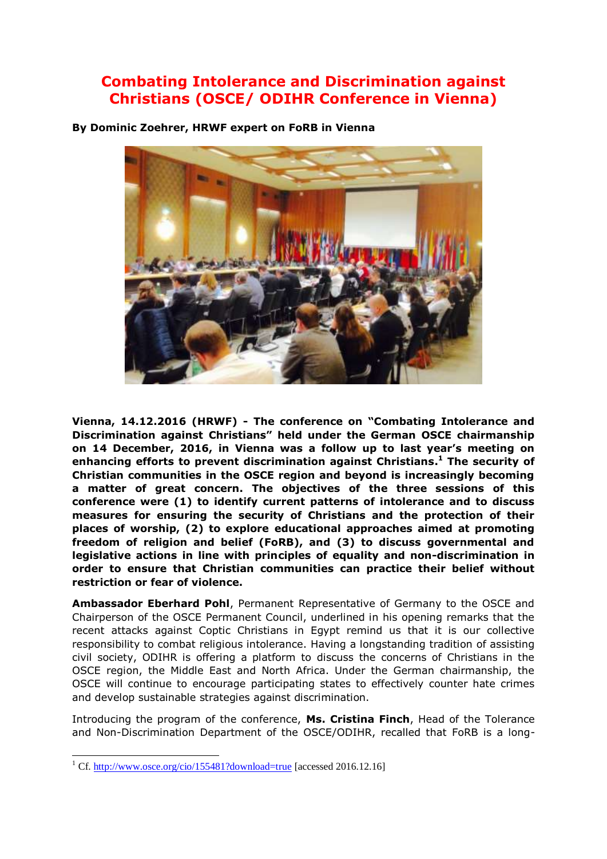# <span id="page-3-0"></span>**Combating Intolerance and Discrimination against Christians (OSCE/ ODIHR Conference in Vienna)**

**By Dominic Zoehrer, HRWF expert on FoRB in Vienna**

**Vienna, 14.12.2016 (HRWF) - The conference on "Combating Intolerance and Discrimination against Christians" held under the German OSCE chairmanship on 14 December, 2016, in Vienna was a follow up to last year's meeting on enhancing efforts to prevent discrimination against Christians. <sup>1</sup> The security of Christian communities in the OSCE region and beyond is increasingly becoming a matter of great concern. The objectives of the three sessions of this conference were (1) to identify current patterns of intolerance and to discuss measures for ensuring the security of Christians and the protection of their places of worship, (2) to explore educational approaches aimed at promoting freedom of religion and belief (FoRB), and (3) to discuss governmental and legislative actions in line with principles of equality and non-discrimination in order to ensure that Christian communities can practice their belief without restriction or fear of violence.** 

**Ambassador Eberhard Pohl**, Permanent Representative of Germany to the OSCE and Chairperson of the OSCE Permanent Council, underlined in his opening remarks that the recent attacks against Coptic Christians in Egypt remind us that it is our collective responsibility to combat religious intolerance. Having a longstanding tradition of assisting civil society, ODIHR is offering a platform to discuss the concerns of Christians in the OSCE region, the Middle East and North Africa. Under the German chairmanship, the OSCE will continue to encourage participating states to effectively counter hate crimes and develop sustainable strategies against discrimination.

Introducing the program of the conference, **Ms. Cristina Finch**, Head of the Tolerance and Non-Discrimination Department of the OSCE/ODIHR, recalled that FoRB is a long-

ł

<sup>&</sup>lt;sup>1</sup> Cf[. http://www.osce.org/cio/155481?download=true](http://www.osce.org/cio/155481?download=true) [accessed 2016.12.16]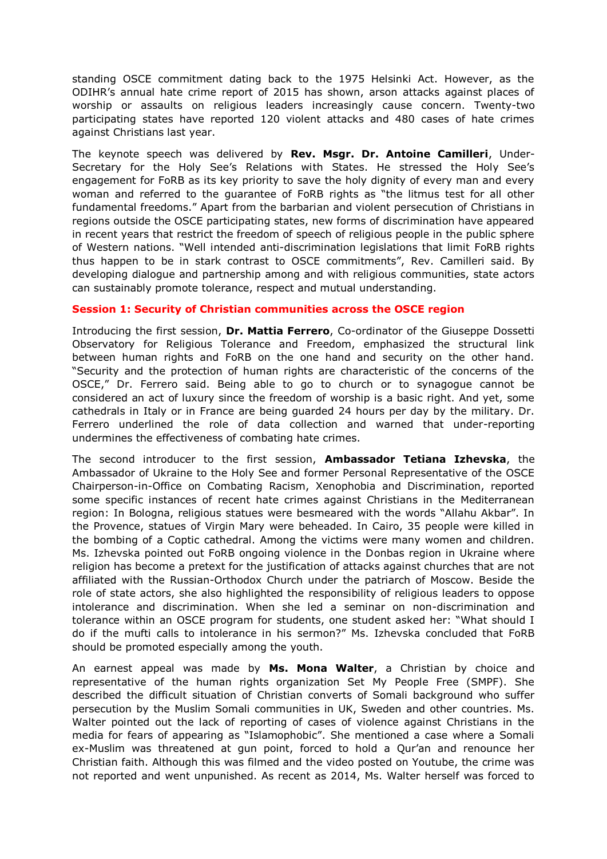standing OSCE commitment dating back to the 1975 Helsinki Act. However, as the ODIHR's annual hate crime report of 2015 has shown, arson attacks against places of worship or assaults on religious leaders increasingly cause concern. Twenty-two participating states have reported 120 violent attacks and 480 cases of hate crimes against Christians last year.

The keynote speech was delivered by **Rev. Msgr. Dr. Antoine Camilleri**, Under-Secretary for the Holy See's Relations with States. He stressed the Holy See's engagement for FoRB as its key priority to save the holy dignity of every man and every woman and referred to the guarantee of FoRB rights as "the litmus test for all other fundamental freedoms." Apart from the barbarian and violent persecution of Christians in regions outside the OSCE participating states, new forms of discrimination have appeared in recent years that restrict the freedom of speech of religious people in the public sphere of Western nations. "Well intended anti-discrimination legislations that limit FoRB rights thus happen to be in stark contrast to OSCE commitments", Rev. Camilleri said. By developing dialogue and partnership among and with religious communities, state actors can sustainably promote tolerance, respect and mutual understanding.

#### **Session 1: Security of Christian communities across the OSCE region**

Introducing the first session, **Dr. Mattia Ferrero**, Co-ordinator of the Giuseppe Dossetti Observatory for Religious Tolerance and Freedom, emphasized the structural link between human rights and FoRB on the one hand and security on the other hand. "Security and the protection of human rights are characteristic of the concerns of the OSCE," Dr. Ferrero said. Being able to go to church or to synagogue cannot be considered an act of luxury since the freedom of worship is a basic right. And yet, some cathedrals in Italy or in France are being guarded 24 hours per day by the military. Dr. Ferrero underlined the role of data collection and warned that under-reporting undermines the effectiveness of combating hate crimes.

The second introducer to the first session, **Ambassador Tetiana Izhevska**, the Ambassador of Ukraine to the Holy See and former Personal Representative of the OSCE Chairperson-in-Office on Combating Racism, Xenophobia and Discrimination, reported some specific instances of recent hate crimes against Christians in the Mediterranean region: In Bologna, religious statues were besmeared with the words "Allahu Akbar". In the Provence, statues of Virgin Mary were beheaded. In Cairo, 35 people were killed in the bombing of a Coptic cathedral. Among the victims were many women and children. Ms. Izhevska pointed out FoRB ongoing violence in the Donbas region in Ukraine where religion has become a pretext for the justification of attacks against churches that are not affiliated with the Russian-Orthodox Church under the patriarch of Moscow. Beside the role of state actors, she also highlighted the responsibility of religious leaders to oppose intolerance and discrimination. When she led a seminar on non-discrimination and tolerance within an OSCE program for students, one student asked her: "What should I do if the mufti calls to intolerance in his sermon?" Ms. Izhevska concluded that FoRB should be promoted especially among the youth.

An earnest appeal was made by **Ms. Mona Walter**, a Christian by choice and representative of the human rights organization Set My People Free (SMPF). She described the difficult situation of Christian converts of Somali background who suffer persecution by the Muslim Somali communities in UK, Sweden and other countries. Ms. Walter pointed out the lack of reporting of cases of violence against Christians in the media for fears of appearing as "Islamophobic". She mentioned a case where a Somali ex-Muslim was threatened at gun point, forced to hold a Qur'an and renounce her Christian faith. Although this was filmed and the video posted on Youtube, the crime was not reported and went unpunished. As recent as 2014, Ms. Walter herself was forced to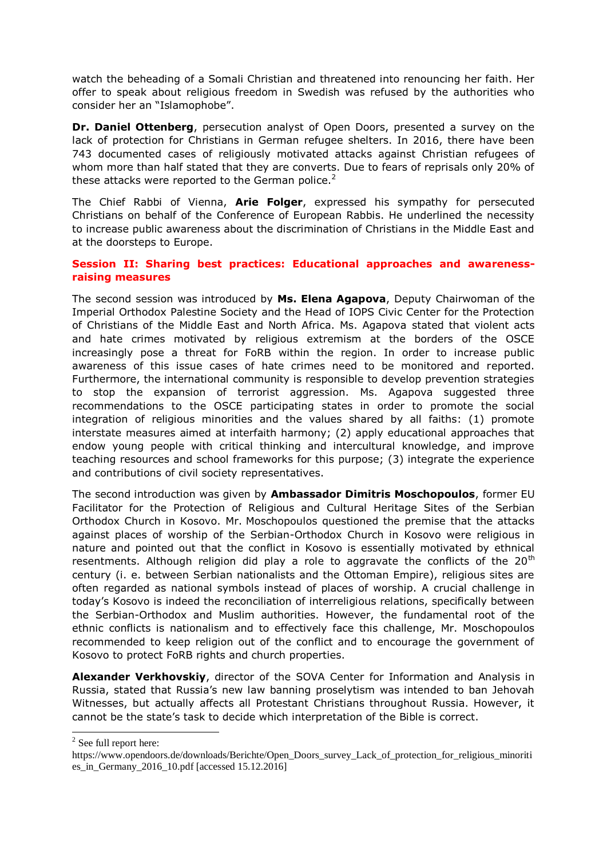watch the beheading of a Somali Christian and threatened into renouncing her faith. Her offer to speak about religious freedom in Swedish was refused by the authorities who consider her an "Islamophobe".

**Dr. Daniel Ottenberg**, persecution analyst of Open Doors, presented a survey on the lack of protection for Christians in German refugee shelters. In 2016, there have been 743 documented cases of religiously motivated attacks against Christian refugees of whom more than half stated that they are converts. Due to fears of reprisals only 20% of these attacks were reported to the German police.<sup>2</sup>

The Chief Rabbi of Vienna, **Arie Folger**, expressed his sympathy for persecuted Christians on behalf of the Conference of European Rabbis. He underlined the necessity to increase public awareness about the discrimination of Christians in the Middle East and at the doorsteps to Europe.

## **Session II: Sharing best practices: Educational approaches and awarenessraising measures**

The second session was introduced by **Ms. Elena Agapova**, Deputy Chairwoman of the Imperial Orthodox Palestine Society and the Head of IOPS Civic Center for the Protection of Christians of the Middle East and North Africa. Ms. Agapova stated that violent acts and hate crimes motivated by religious extremism at the borders of the OSCE increasingly pose a threat for FoRB within the region. In order to increase public awareness of this issue cases of hate crimes need to be monitored and reported. Furthermore, the international community is responsible to develop prevention strategies to stop the expansion of terrorist aggression. Ms. Agapova suggested three recommendations to the OSCE participating states in order to promote the social integration of religious minorities and the values shared by all faiths: (1) promote interstate measures aimed at interfaith harmony; (2) apply educational approaches that endow young people with critical thinking and intercultural knowledge, and improve teaching resources and school frameworks for this purpose; (3) integrate the experience and contributions of civil society representatives.

The second introduction was given by **Ambassador Dimitris Moschopoulos**, former EU Facilitator for the Protection of Religious and Cultural Heritage Sites of the Serbian Orthodox Church in Kosovo. Mr. Moschopoulos questioned the premise that the attacks against places of worship of the Serbian-Orthodox Church in Kosovo were religious in nature and pointed out that the conflict in Kosovo is essentially motivated by ethnical resentments. Although religion did play a role to aggravate the conflicts of the  $20<sup>th</sup>$ century (i. e. between Serbian nationalists and the Ottoman Empire), religious sites are often regarded as national symbols instead of places of worship. A crucial challenge in today's Kosovo is indeed the reconciliation of interreligious relations, specifically between the Serbian-Orthodox and Muslim authorities. However, the fundamental root of the ethnic conflicts is nationalism and to effectively face this challenge, Mr. Moschopoulos recommended to keep religion out of the conflict and to encourage the government of Kosovo to protect FoRB rights and church properties.

**Alexander Verkhovskiy**, director of the SOVA Center for Information and Analysis in Russia, stated that Russia's new law banning proselytism was intended to ban Jehovah Witnesses, but actually affects all Protestant Christians throughout Russia. However, it cannot be the state's task to decide which interpretation of the Bible is correct.

 2 See full report here:

https://www.opendoors.de/downloads/Berichte/Open\_Doors\_survey\_Lack\_of\_protection\_for\_religious\_minoriti es in Germany  $2016$  10.pdf [accessed 15.12.2016]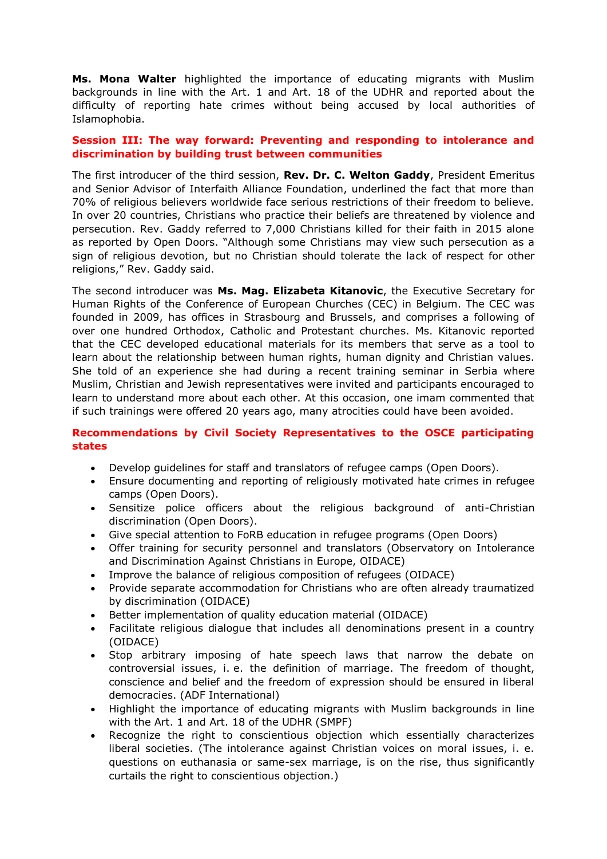**Ms. Mona Walter** highlighted the importance of educating migrants with Muslim backgrounds in line with the Art. 1 and Art. 18 of the UDHR and reported about the difficulty of reporting hate crimes without being accused by local authorities of Islamophobia.

## **Session III: The way forward: Preventing and responding to intolerance and discrimination by building trust between communities**

The first introducer of the third session, **Rev. Dr. C. Welton Gaddy**, President Emeritus and Senior Advisor of Interfaith Alliance Foundation, underlined the fact that more than 70% of religious believers worldwide face serious restrictions of their freedom to believe. In over 20 countries, Christians who practice their beliefs are threatened by violence and persecution. Rev. Gaddy referred to 7,000 Christians killed for their faith in 2015 alone as reported by Open Doors. "Although some Christians may view such persecution as a sign of religious devotion, but no Christian should tolerate the lack of respect for other religions," Rev. Gaddy said.

The second introducer was **Ms. Mag. Elizabeta Kitanovic**, the Executive Secretary for Human Rights of the Conference of European Churches (CEC) in Belgium. The CEC was founded in 2009, has offices in Strasbourg and Brussels, and comprises a following of over one hundred Orthodox, Catholic and Protestant churches. Ms. Kitanovic reported that the CEC developed educational materials for its members that serve as a tool to learn about the relationship between human rights, human dignity and Christian values. She told of an experience she had during a recent training seminar in Serbia where Muslim, Christian and Jewish representatives were invited and participants encouraged to learn to understand more about each other. At this occasion, one imam commented that if such trainings were offered 20 years ago, many atrocities could have been avoided.

## **Recommendations by Civil Society Representatives to the OSCE participating states**

- Develop guidelines for staff and translators of refugee camps (Open Doors).
- Ensure documenting and reporting of religiously motivated hate crimes in refugee camps (Open Doors).
- Sensitize police officers about the religious background of anti-Christian discrimination (Open Doors).
- Give special attention to FoRB education in refugee programs (Open Doors)
- Offer training for security personnel and translators (Observatory on Intolerance and Discrimination Against Christians in Europe, OIDACE)
- Improve the balance of religious composition of refugees (OIDACE)
- Provide separate accommodation for Christians who are often already traumatized by discrimination (OIDACE)
- Better implementation of quality education material (OIDACE)
- Facilitate religious dialogue that includes all denominations present in a country (OIDACE)
- Stop arbitrary imposing of hate speech laws that narrow the debate on controversial issues, i. e. the definition of marriage. The freedom of thought, conscience and belief and the freedom of expression should be ensured in liberal democracies. (ADF International)
- Highlight the importance of educating migrants with Muslim backgrounds in line with the Art. 1 and Art. 18 of the UDHR (SMPF)
- Recognize the right to conscientious objection which essentially characterizes liberal societies. (The intolerance against Christian voices on moral issues, i. e. questions on euthanasia or same-sex marriage, is on the rise, thus significantly curtails the right to conscientious objection.)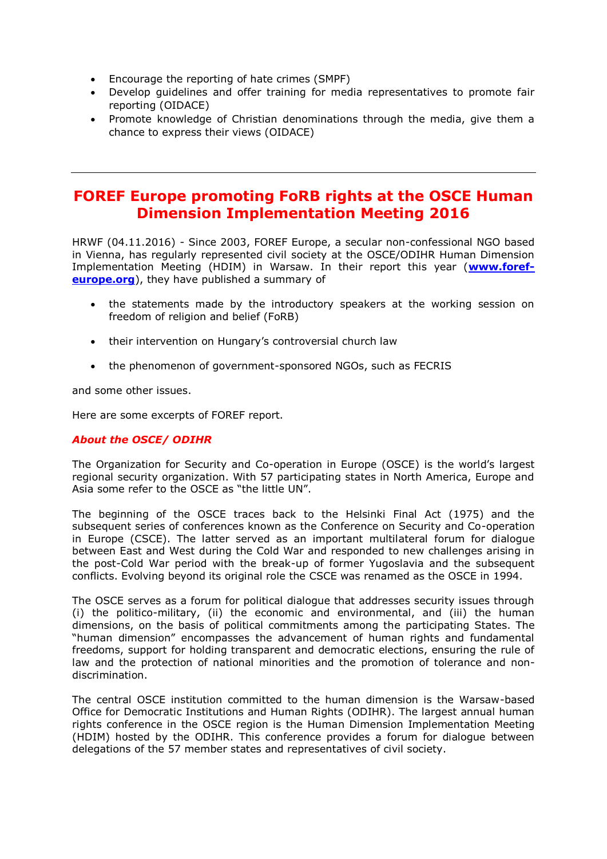- Encourage the reporting of hate crimes (SMPF)
- Develop guidelines and offer training for media representatives to promote fair reporting (OIDACE)
- Promote knowledge of Christian denominations through the media, give them a chance to express their views (OIDACE)

# <span id="page-7-0"></span>**FOREF Europe promoting FoRB rights at the OSCE Human Dimension Implementation Meeting 2016**

HRWF (04.11.2016) - Since 2003, FOREF Europe, a secular non-confessional NGO based in Vienna, has regularly represented civil society at the OSCE/ODIHR Human Dimension Implementation Meeting (HDIM) in Warsaw. In their report this year (**[www.foref](http://www.foref-europe.org/)[europe.org](http://www.foref-europe.org/)**), they have published a summary of

- the statements made by the introductory speakers at the working session on freedom of religion and belief (FoRB)
- their intervention on Hungary's controversial church law
- the phenomenon of government-sponsored NGOs, such as FECRIS

and some other issues.

Here are some excerpts of FOREF report.

#### *About the OSCE/ ODIHR*

The Organization for Security and Co-operation in Europe (OSCE) is the world's largest regional security organization. With 57 participating states in North America, Europe and Asia some refer to the OSCE as "the little UN".

The beginning of the OSCE traces back to the Helsinki Final Act (1975) and the subsequent series of conferences known as the Conference on Security and Co-operation in Europe (CSCE). The latter served as an important multilateral forum for dialogue between East and West during the Cold War and responded to new challenges arising in the post-Cold War period with the break-up of former Yugoslavia and the subsequent conflicts. Evolving beyond its original role the CSCE was renamed as the OSCE in 1994.

The OSCE serves as a forum for political dialogue that addresses security issues through (i) the politico-military, (ii) the economic and environmental, and (iii) the human dimensions, on the basis of political commitments among the participating States. The "human dimension" encompasses the advancement of human rights and fundamental freedoms, support for holding transparent and democratic elections, ensuring the rule of law and the protection of national minorities and the promotion of tolerance and nondiscrimination.

The central OSCE institution committed to the human dimension is the Warsaw-based Office for Democratic Institutions and Human Rights (ODIHR). The largest annual human rights conference in the OSCE region is the Human Dimension Implementation Meeting (HDIM) hosted by the ODIHR. This conference provides a forum for dialogue between delegations of the 57 member states and representatives of civil society.